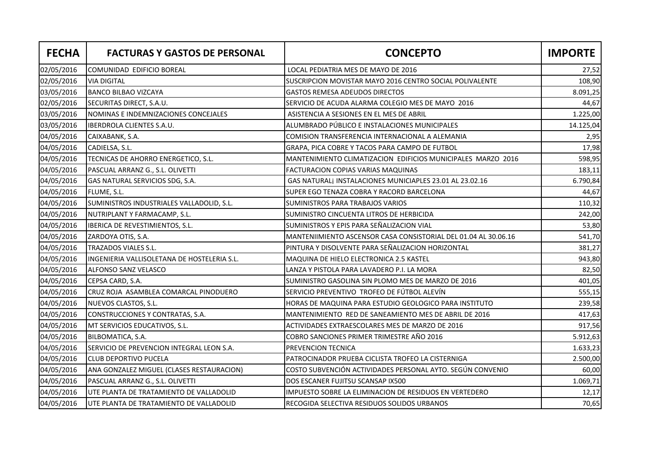| <b>FECHA</b> | <b>FACTURAS Y GASTOS DE PERSONAL</b>        | <b>CONCEPTO</b>                                                 | <b>IMPORTE</b> |
|--------------|---------------------------------------------|-----------------------------------------------------------------|----------------|
| 02/05/2016   | COMUNIDAD EDIFICIO BOREAL                   | LOCAL PEDIATRIA MES DE MAYO DE 2016                             | 27,52          |
| 02/05/2016   | <b>VIA DIGITAL</b>                          | SUSCRIPCION MOVISTAR MAYO 2016 CENTRO SOCIAL POLIVALENTE        | 108,90         |
| 03/05/2016   | <b>BANCO BILBAO VIZCAYA</b>                 | <b>GASTOS REMESA ADEUDOS DIRECTOS</b>                           | 8.091,25       |
| 02/05/2016   | SECURITAS DIRECT, S.A.U.                    | SERVICIO DE ACUDA ALARMA COLEGIO MES DE MAYO 2016               | 44,67          |
| 03/05/2016   | NOMINAS E INDEMNIZACIONES CONCEJALES        | ASISTENCIA A SESIONES EN EL MES DE ABRIL                        | 1.225,00       |
| 03/05/2016   | <b>IBERDROLA CLIENTES S.A.U.</b>            | ALUMBRADO PÚBLICO E INSTALACIONES MUNICIPALES                   | 14.125,04      |
| 04/05/2016   | CAIXABANK, S.A.                             | COMISION TRANSFERENCIA INTERNACIONAL A ALEMANIA                 | 2,95           |
| 04/05/2016   | CADIELSA, S.L.                              | GRAPA, PICA COBRE Y TACOS PARA CAMPO DE FUTBOL                  | 17,98          |
| 04/05/2016   | TECNICAS DE AHORRO ENERGETICO, S.L.         | MANTENIMIENTO CLIMATIZACION EDIFICIOS MUNICIPALES MARZO 2016    | 598,95         |
| 04/05/2016   | PASCUAL ARRANZ G., S.L. OLIVETTI            | FACTURACION COPIAS VARIAS MAQUINAS                              | 183,11         |
| 04/05/2016   | GAS NATURAL SERVICIOS SDG, S.A.             | GAS NATURALI INSTALACIONES MUNICIAPLES 23.01 AL 23.02.16        | 6.790,84       |
| 04/05/2016   | FLUME, S.L.                                 | SUPER EGO TENAZA COBRA Y RACORD BARCELONA                       | 44,67          |
| 04/05/2016   | SUMINISTROS INDUSTRIALES VALLADOLID, S.L.   | <b>SUMINISTROS PARA TRABAJOS VARIOS</b>                         | 110,32         |
| 04/05/2016   | NUTRIPLANT Y FARMACAMP, S.L.                | SUMINISTRO CINCUENTA LITROS DE HERBICIDA                        | 242,00         |
| 04/05/2016   | IBERICA DE REVESTIMIENTOS, S.L.             | SUMINISTROS Y EPIS PARA SEÑALIZACION VIAL                       | 53,80          |
| 04/05/2016   | ZARDOYA OTIS, S.A.                          | MANTENIIMIENTO ASCENSOR CASA CONSISTORIAL DEL 01.04 AL 30.06.16 | 541,70         |
| 04/05/2016   | <b>TRAZADOS VIALES S.L.</b>                 | PINTURA Y DISOLVENTE PARA SEÑALIZACION HORIZONTAL               | 381,27         |
| 04/05/2016   | INGENIERIA VALLISOLETANA DE HOSTELERIA S.L. | MAQUINA DE HIELO ELECTRONICA 2.5 KASTEL                         | 943,80         |
| 04/05/2016   | ALFONSO SANZ VELASCO                        | LANZA Y PISTOLA PARA LAVADERO P.I. LA MORA                      | 82,50          |
| 04/05/2016   | CEPSA CARD, S.A.                            | SUMINISTRO GASOLINA SIN PLOMO MES DE MARZO DE 2016              | 401,05         |
| 04/05/2016   | CRUZ ROJA ASAMBLEA COMARCAL PINODUERO       | SERVICIO PREVENTIVO TROFEO DE FÚTBOL ALEVÍN                     | 555,15         |
| 04/05/2016   | NUEVOS CLASTOS, S.L.                        | HORAS DE MAQUINA PARA ESTUDIO GEOLOGICO PARA INSTITUTO          | 239,58         |
| 04/05/2016   | CONSTRUCCIONES Y CONTRATAS, S.A.            | MANTENIMIENTO RED DE SANEAMIENTO MES DE ABRIL DE 2016           | 417,63         |
| 04/05/2016   | MT SERVICIOS EDUCATIVOS, S.L.               | ACTIVIDADES EXTRAESCOLARES MES DE MARZO DE 2016                 | 917,56         |
| 04/05/2016   | BILBOMATICA, S.A.                           | COBRO SANCIONES PRIMER TRIMESTRE AÑO 2016                       | 5.912,63       |
| 04/05/2016   | SERVICIO DE PREVENCION INTEGRAL LEON S.A.   | PREVENCION TECNICA                                              | 1.633,23       |
| 04/05/2016   | <b>CLUB DEPORTIVO PUCELA</b>                | PATROCINADOR PRUEBA CICLISTA TROFEO LA CISTERNIGA               | 2.500,00       |
| 04/05/2016   | ANA GONZALEZ MIGUEL (CLASES RESTAURACION)   | COSTO SUBVENCIÓN ACTIVIDADES PERSONAL AYTO. SEGÚN CONVENIO      | 60,00          |
| 04/05/2016   | PASCUAL ARRANZ G., S.L. OLIVETTI            | DOS ESCANER FUJITSU SCANSAP IX500                               | 1.069,71       |
| 04/05/2016   | UTE PLANTA DE TRATAMIENTO DE VALLADOLID     | IMPUESTO SOBRE LA ELIMINACION DE RESIDUOS EN VERTEDERO          | 12,17          |
| 04/05/2016   | UTE PLANTA DE TRATAMIENTO DE VALLADOLID     | RECOGIDA SELECTIVA RESIDUOS SOLIDOS URBANOS                     | 70,65          |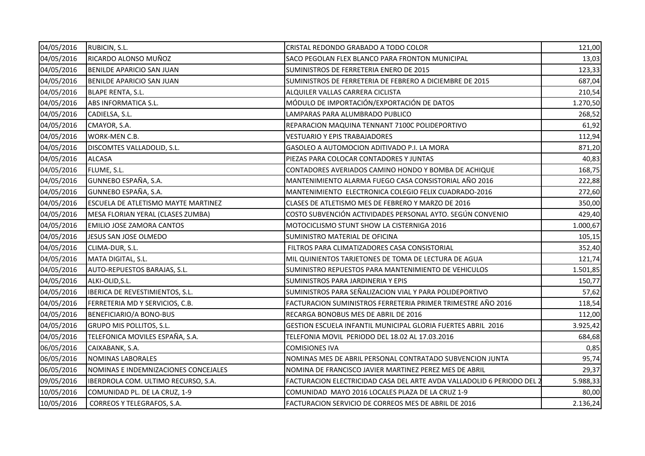| 04/05/2016 | RUBICIN, S.L.                              | CRISTAL REDONDO GRABADO A TODO COLOR                                   | 121,00   |
|------------|--------------------------------------------|------------------------------------------------------------------------|----------|
| 04/05/2016 | RICARDO ALONSO MUÑOZ                       | SACO PEGOLAN FLEX BLANCO PARA FRONTON MUNICIPAL                        | 13,03    |
| 04/05/2016 | <b>BENILDE APARICIO SAN JUAN</b>           | SUMINISTROS DE FERRETERIA ENERO DE 2015                                | 123,33   |
| 04/05/2016 | <b>BENILDE APARICIO SAN JUAN</b>           | SUMINISTROS DE FERRETERIA DE FEBRERO A DICIEMBRE DE 2015               | 687,04   |
| 04/05/2016 | <b>BLAPE RENTA, S.L.</b>                   | ALQUILER VALLAS CARRERA CICLISTA                                       | 210,54   |
| 04/05/2016 | ABS INFORMATICA S.L.                       | MÓDULO DE IMPORTACIÓN/EXPORTACIÓN DE DATOS                             | 1.270,50 |
| 04/05/2016 | CADIELSA, S.L.                             | LAMPARAS PARA ALUMBRADO PUBLICO                                        | 268,52   |
| 04/05/2016 | CMAYOR, S.A.                               | REPARACION MAQUINA TENNANT 7100C POLIDEPORTIVO                         | 61,92    |
| 04/05/2016 | WORK-MEN C.B.                              | <b>VESTUARIO Y EPIS TRABAJADORES</b>                                   | 112,94   |
| 04/05/2016 | DISCOMTES VALLADOLID, S.L.                 | GASOLEO A AUTOMOCION ADITIVADO P.I. LA MORA                            | 871,20   |
| 04/05/2016 | <b>ALCASA</b>                              | PIEZAS PARA COLOCAR CONTADORES Y JUNTAS                                | 40,83    |
| 04/05/2016 | FLUME, S.L.                                | CONTADORES AVERIADOS CAMINO HONDO Y BOMBA DE ACHIQUE                   | 168,75   |
| 04/05/2016 | GUNNEBO ESPAÑA, S.A.                       | MANTENIMIENTO ALARMA FUEGO CASA CONSISTORIAL AÑO 2016                  | 222,88   |
| 04/05/2016 | GUNNEBO ESPAÑA, S.A.                       | MANTENIMIENTO ELECTRONICA COLEGIO FELIX CUADRADO-2016                  | 272,60   |
| 04/05/2016 | <b>ESCUELA DE ATLETISMO MAYTE MARTINEZ</b> | CLASES DE ATLETISMO MES DE FEBRERO Y MARZO DE 2016                     | 350,00   |
| 04/05/2016 | MESA FLORIAN YERAL (CLASES ZUMBA)          | COSTO SUBVENCIÓN ACTIVIDADES PERSONAL AYTO. SEGÚN CONVENIO             | 429,40   |
| 04/05/2016 | <b>EMILIO JOSE ZAMORA CANTOS</b>           | MOTOCICLISMO STUNT SHOW LA CISTERNIGA 2016                             | 1.000,67 |
| 04/05/2016 | JESUS SAN JOSE OLMEDO                      | SUMINISTRO MATERIAL DE OFICINA                                         | 105,15   |
| 04/05/2016 | CLIMA-DUR, S.L.                            | FILTROS PARA CLIMATIZADORES CASA CONSISTORIAL                          | 352,40   |
| 04/05/2016 | MATA DIGITAL, S.L.                         | MIL QUINIENTOS TARJETONES DE TOMA DE LECTURA DE AGUA                   | 121,74   |
| 04/05/2016 | AUTO-REPUESTOS BARAJAS, S.L.               | SUMINISTRO REPUESTOS PARA MANTENIMIENTO DE VEHICULOS                   | 1.501,85 |
| 04/05/2016 | ALKI-OLID, S.L.                            | <b>SUMINISTROS PARA JARDINERIA Y EPIS</b>                              | 150,77   |
| 04/05/2016 | IBERICA DE REVESTIMIENTOS, S.L.            | SUMINISTROS PARA SEÑALIZACION VIAL Y PARA POLIDEPORTIVO                | 57,62    |
| 04/05/2016 | FERRETERIA MD Y SERVICIOS, C.B.            | FACTURACION SUMINISTROS FERRETERIA PRIMER TRIMESTRE AÑO 2016           | 118,54   |
| 04/05/2016 | BENEFICIARIO/A BONO-BUS                    | RECARGA BONOBUS MES DE ABRIL DE 2016                                   | 112,00   |
| 04/05/2016 | <b>GRUPO MIS POLLITOS, S.L.</b>            | GESTION ESCUELA INFANTIL MUNICIPAL GLORIA FUERTES ABRIL 2016           | 3.925,42 |
| 04/05/2016 | TELEFONICA MOVILES ESPAÑA, S.A.            | TELEFONIA MOVIL PERIODO DEL 18.02 AL 17.03.2016                        | 684,68   |
| 06/05/2016 | CAIXABANK, S.A.                            | <b>COMISIONES IVA</b>                                                  | 0,85     |
| 06/05/2016 | NOMINAS LABORALES                          | NOMINAS MES DE ABRIL PERSONAL CONTRATADO SUBVENCION JUNTA              | 95,74    |
| 06/05/2016 | NOMINAS E INDEMNIZACIONES CONCEJALES       | NOMINA DE FRANCISCO JAVIER MARTINEZ PEREZ MES DE ABRIL                 | 29,37    |
| 09/05/2016 | IBERDROLA COM. ULTIMO RECURSO, S.A.        | FACTURACION ELECTRICIDAD CASA DEL ARTE AVDA VALLADOLID 6 PERIODO DEL 2 | 5.988,33 |
| 10/05/2016 | COMUNIDAD PL. DE LA CRUZ, 1-9              | COMUNIDAD MAYO 2016 LOCALES PLAZA DE LA CRUZ 1-9                       | 80,00    |
| 10/05/2016 | CORREOS Y TELEGRAFOS, S.A.                 | FACTURACION SERVICIO DE CORREOS MES DE ABRIL DE 2016                   | 2.136,24 |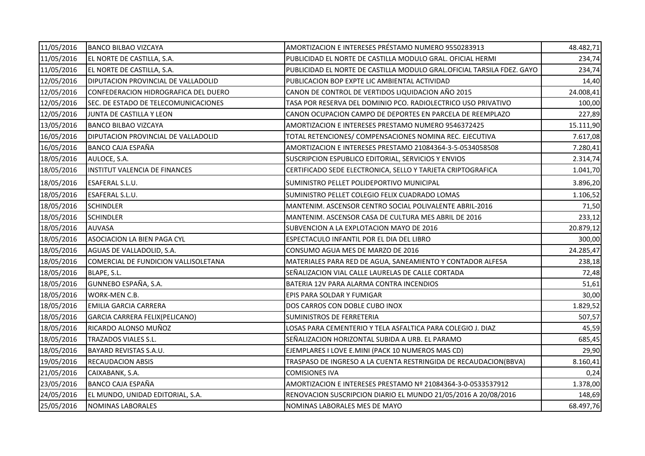| 11/05/2016 | <b>BANCO BILBAO VIZCAYA</b>                | AMORTIZACION E INTERESES PRÉSTAMO NUMERO 9550283913                    | 48.482,71 |
|------------|--------------------------------------------|------------------------------------------------------------------------|-----------|
| 11/05/2016 | EL NORTE DE CASTILLA, S.A.                 | PUBLICIDAD EL NORTE DE CASTILLA MODULO GRAL. OFICIAL HERMI             | 234,74    |
| 11/05/2016 | EL NORTE DE CASTILLA, S.A.                 | PUBLICIDAD EL NORTE DE CASTILLA MODULO GRAL.OFICIAL TARSILA FDEZ. GAYO | 234,74    |
| 12/05/2016 | <b>DIPUTACION PROVINCIAL DE VALLADOLID</b> | PUBLICACION BOP EXPTE LIC AMBIENTAL ACTIVIDAD                          | 14,40     |
| 12/05/2016 | CONFEDERACION HIDROGRAFICA DEL DUERO       | CANON DE CONTROL DE VERTIDOS LIQUIDACION AÑO 2015                      | 24.008,41 |
| 12/05/2016 | SEC. DE ESTADO DE TELECOMUNICACIONES       | TASA POR RESERVA DEL DOMINIO PCO. RADIOLECTRICO USO PRIVATIVO          | 100,00    |
| 12/05/2016 | JUNTA DE CASTILLA Y LEON                   | CANON OCUPACION CAMPO DE DEPORTES EN PARCELA DE REEMPLAZO              | 227,89    |
| 13/05/2016 | <b>BANCO BILBAO VIZCAYA</b>                | AMORTIZACION E INTERESES PRESTAMO NUMERO 9546372425                    | 15.111,90 |
| 16/05/2016 | DIPUTACION PROVINCIAL DE VALLADOLID        | TOTAL RETENCIONES/ COMPENSACIONES NOMINA REC. EJECUTIVA                | 7.617,08  |
| 16/05/2016 | BANCO CAJA ESPAÑA                          | AMORTIZACION E INTERESES PRESTAMO 21084364-3-5-0534058508              | 7.280,41  |
| 18/05/2016 | AULOCE, S.A.                               | SUSCRIPCION ESPUBLICO EDITORIAL, SERVICIOS Y ENVIOS                    | 2.314,74  |
| 18/05/2016 | INSTITUT VALENCIA DE FINANCES              | CERTIFICADO SEDE ELECTRONICA, SELLO Y TARJETA CRIPTOGRAFICA            | 1.041,70  |
| 18/05/2016 | ESAFERAL S.L.U.                            | SUMINISTRO PELLET POLIDEPORTIVO MUNICIPAL                              | 3.896,20  |
| 18/05/2016 | <b>ESAFERAL S.L.U.</b>                     | SUMINISTRO PELLET COLEGIO FELIX CUADRADO LOMAS                         | 1.106,52  |
| 18/05/2016 | <b>SCHINDLER</b>                           | MANTENIM. ASCENSOR CENTRO SOCIAL POLIVALENTE ABRIL-2016                | 71,50     |
| 18/05/2016 | <b>SCHINDLER</b>                           | MANTENIM. ASCENSOR CASA DE CULTURA MES ABRIL DE 2016                   | 233,12    |
| 18/05/2016 | <b>AUVASA</b>                              | SUBVENCION A LA EXPLOTACION MAYO DE 2016                               | 20.879,12 |
| 18/05/2016 | <b>ASOCIACION LA BIEN PAGA CYL</b>         | ESPECTACULO INFANTIL POR EL DIA DEL LIBRO                              | 300,00    |
| 18/05/2016 | AGUAS DE VALLADOLID, S.A.                  | CONSUMO AGUA MES DE MARZO DE 2016                                      | 24.285,47 |
| 18/05/2016 | COMERCIAL DE FUNDICION VALLISOLETANA       | MATERIALES PARA RED DE AGUA, SANEAMIENTO Y CONTADOR ALFESA             | 238,18    |
| 18/05/2016 | BLAPE, S.L.                                | SEÑALIZACION VIAL CALLE LAURELAS DE CALLE CORTADA                      | 72,48     |
| 18/05/2016 | GUNNEBO ESPAÑA, S.A.                       | BATERIA 12V PARA ALARMA CONTRA INCENDIOS                               | 51,61     |
| 18/05/2016 | WORK-MEN C.B.                              | EPIS PARA SOLDAR Y FUMIGAR                                             | 30,00     |
| 18/05/2016 | <b>EMILIA GARCIA CARRERA</b>               | DOS CARROS CON DOBLE CUBO INOX                                         | 1.829,52  |
| 18/05/2016 | GARCIA CARRERA FELIX(PELICANO)             | SUMINISTROS DE FERRETERIA                                              | 507,57    |
| 18/05/2016 | RICARDO ALONSO MUÑOZ                       | LOSAS PARA CEMENTERIO Y TELA ASFALTICA PARA COLEGIO J. DIAZ            | 45,59     |
| 18/05/2016 | TRAZADOS VIALES S.L.                       | SEÑALIZACION HORIZONTAL SUBIDA A URB. EL PARAMO                        | 685,45    |
| 18/05/2016 | BAYARD REVISTAS S.A.U.                     | EJEMPLARES I LOVE E.MINI (PACK 10 NUMEROS MAS CD)                      | 29,90     |
| 19/05/2016 | <b>RECAUDACION ABSIS</b>                   | TRASPASO DE INGRESO A LA CUENTA RESTRINGIDA DE RECAUDACION(BBVA)       | 8.160,41  |
| 21/05/2016 | CAIXABANK, S.A.                            | <b>COMISIONES IVA</b>                                                  | 0,24      |
| 23/05/2016 | BANCO CAJA ESPAÑA                          | AMORTIZACION E INTERESES PRESTAMO Nº 21084364-3-0-0533537912           | 1.378,00  |
| 24/05/2016 | EL MUNDO, UNIDAD EDITORIAL, S.A.           | RENOVACION SUSCRIPCION DIARIO EL MUNDO 21/05/2016 A 20/08/2016         | 148,69    |
| 25/05/2016 | <b>NOMINAS LABORALES</b>                   | NOMINAS LABORALES MES DE MAYO                                          | 68.497,76 |